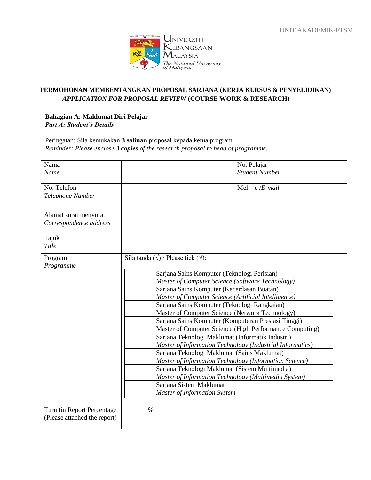

## **PERMOHONAN MEMBENTANGKAN PROPOSAL SARJANA (KERJA KURSUS & PENYELIDIKAN)** *APPLICATION FOR PROPOSAL REVIEW* **(COURSE WORK & RESEARCH)**

## **Bahagian A: Maklumat Diri Pelajar** *Part A: Student's Details*

Peringatan: Sila kemukakan **3 salinan** proposal kepada ketua program. *Reminder: Please enclose 3 copies of the research proposal to head of programme.*

| Nama<br>Name                                                      | No. Pelajar<br><b>Student Number</b>                                                               |  |  |
|-------------------------------------------------------------------|----------------------------------------------------------------------------------------------------|--|--|
| No. Telefon<br>Telephone Number                                   | $Mel - e/E-mail$                                                                                   |  |  |
| Alamat surat menyurat<br>Correspondence address                   |                                                                                                    |  |  |
| Tajuk<br>Title                                                    |                                                                                                    |  |  |
| Program<br>Programme                                              | Sila tanda $(\sqrt{})$ / Please tick $(\sqrt{})$ :                                                 |  |  |
|                                                                   | Sarjana Sains Komputer (Teknologi Perisian)                                                        |  |  |
|                                                                   | Master of Computer Science (Software Technology)                                                   |  |  |
|                                                                   | Sarjana Sains Komputer (Kecerdasan Buatan)<br>Master of Computer Science (Artificial Intelligence) |  |  |
|                                                                   | Sarjana Sains Komputer (Teknologi Rangkaian)                                                       |  |  |
|                                                                   | Master of Computer Science (Network Technology)                                                    |  |  |
|                                                                   | Sarjana Sains Komputer (Komputeran Prestasi Tinggi)                                                |  |  |
|                                                                   | Master of Computer Science (High Performance Computing)                                            |  |  |
|                                                                   | Sarjana Teknologi Maklumat (Informatik Industri)                                                   |  |  |
|                                                                   | Master of Information Technology (Industrial Informatics)                                          |  |  |
|                                                                   | Sarjana Teknologi Maklumat (Sains Maklumat)                                                        |  |  |
|                                                                   | Master of Information Technology (Information Science)                                             |  |  |
|                                                                   | Sarjana Teknologi Maklumat (Sistem Multimedia)                                                     |  |  |
|                                                                   | Master of Information Technology (Multimedia System)                                               |  |  |
|                                                                   | Sarjana Sistem Maklumat                                                                            |  |  |
|                                                                   | <b>Master of Information System</b>                                                                |  |  |
| <b>Turnitin Report Percentage</b><br>(Please attached the report) | $\%$                                                                                               |  |  |